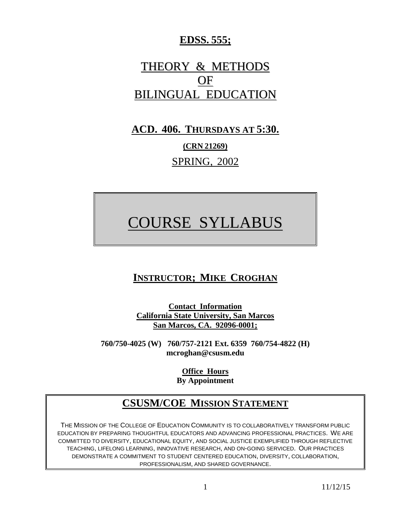### **EDSS. 555;**

## THEORY & METHODS OF BILINGUAL EDUCATION

### **ACD. 406. THURSDAYS AT 5:30.**

**(CRN 21269)** SPRING, 2002

# COURSE SYLLABUS

### **INSTRUCTOR; MIKE CROGHAN**

**Contact Information California State University, San Marcos San Marcos, CA. 92096-0001;**

**760/750-4025 (W) 760/757-2121 Ext. 6359 760/754-4822 (H) mcroghan@csusm.edu**

> **Office Hours By Appointment**

### **CSUSM/COE MISSION STATEMENT**

THE MISSION OF THE COLLEGE OF EDUCATION COMMUNITY IS TO COLLABORATIVELY TRANSFORM PUBLIC EDUCATION BY PREPARING THOUGHTFUL EDUCATORS AND ADVANCING PROFESSIONAL PRACTICES. WE ARE COMMITTED TO DIVERSITY, EDUCATIONAL EQUITY, AND SOCIAL JUSTICE EXEMPLIFIED THROUGH REFLECTIVE TEACHING, LIFELONG LEARNING, INNOVATIVE RESEARCH, AND ON-GOING SERVICED. OUR PRACTICES DEMONSTRATE A COMMITMENT TO STUDENT CENTERED EDUCATION, DIVERSITY, COLLABORATION, PROFESSIONALISM, AND SHARED GOVERNANCE.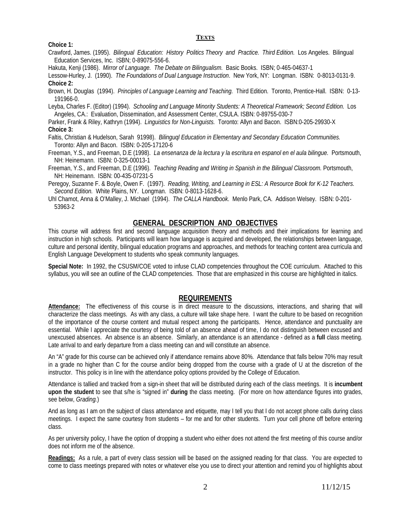#### **TEXTS**

#### **Choice 1:**

Crawford, James. (1995). *Bilingual Education: History Politics Theory and Practice. Third Edition.* Los Angeles. Bilingual Education Services, Inc. ISBN; 0-89075-556-6.

Hakuta, Kenji (1986). *Mirror of Language. The Debate on Bilingualism.* Basic Books. ISBN; 0-465-04637-1

Lessow-Hurley, J. (1990). *The Foundations of Dual Language Instruction*. New York, NY: Longman. ISBN: 0-8013-0131-9. **Choice 2:**

Brown, H. Douglas (1994). *Principles of Language Learning and Teaching.* Third Edition. Toronto, Prentice-Hall. ISBN: 0-13- 191966-0.

Leyba, Charles F. (Editor) (1994). *Schooling and Language Minority Students: A Theoretical Framework; Second Edition.* Los Angeles, CA.: Evaluation, Dissemination, and Assessment Center, CSULA. ISBN: 0-89755-030-7

Parker, Frank & Riley, Kathryn (1994). *Linguistics for Non-Linguists.* Toronto: Allyn and Bacon. ISBN:0-205-29930-X **Choice 3:**

- Faltis, Christian & Hudelson, Sarah 91998). *Bilinguql Education in Elementary and Secondary Education Communities.* Toronto: Allyn and Bacon. ISBN: 0-205-17120-6
- Freeman, Y.S., and Freeman, D.E (1998). *La ensenanza de la lectura y la escritura en espanol en el aula bilingue.* Portsmouth, NH: Heinemann. ISBN: 0-325-00013-1
- Freeman, Y.S., and Freeman, D.E (1996). *Teaching Reading and Writing in Spanish in the Bilingual Classroom.* Portsmouth, NH: Heinemann. ISBN: 00-435-07231-5

Peregoy, Suzanne F. & Boyle, Owen F. (1997). *Reading, Writing, and Learning in ESL: A Resource Book for K-12 Teachers. Second Edition.* White Plains, NY. Longman. ISBN: 0-8013-1628-6.

Uhl Chamot, Anna & O'Malley, J. Michael (1994). *The CALLA Handbook*. Menlo Park, CA. Addison Welsey. ISBN: 0-201- 53963-2

#### **GENERAL DESCRIPTION AND OBJECTIVES**

This course will address first and second language acquisition theory and methods and their implications for learning and instruction in high schools. Participants will learn how language is acquired and developed, the relationships between language, culture and personal identity, bilingual education programs and approaches, and methods for teaching content area curricula and English Language Development to students who speak community languages.

**Special Note:** In 1992, the CSUSM/COE voted to infuse CLAD competencies throughout the COE curriculum. Attached to this syllabus, you will see an outline of the CLAD competencies. Those that are emphasized in this course are highlighted in italics.

#### **REQUIREMENTS**

**Attendance:** The effectiveness of this course is in direct measure to the discussions, interactions, and sharing that will characterize the class meetings. As with any class, a culture will take shape here. I want the culture to be based on recognition of the importance of the course content and mutual respect among the participants. Hence, attendance and punctuality are essential. While I appreciate the courtesy of being told of an absence ahead of time, I do not distinguish between excused and unexcused absences. An absence is an absence. Similarly, an attendance is an attendance - defined as a **full** class meeting. Late arrival to and early departure from a class meeting can and will constitute an absence.

An "A" grade for this course can be achieved only if attendance remains above 80%. Attendance that falls below 70% may result in a grade no higher than C for the course and/or being dropped from the course with a grade of U at the discretion of the instructor. This policy is in line with the attendance policy options provided by the College of Education.

Attendance is tallied and tracked from a sign-in sheet that will be distributed during each of the class meetings. It is **incumbent upon the student** to see that s/he is "signed in" **during** the class meeting. (For more on how attendance figures into grades, see below, *Grading.*)

And as long as I am on the subject of class attendance and etiquette, may I tell you that I do not accept phone calls during class meetings. I expect the same courtesy from students – for me and for other students. Turn your cell phone off before entering class.

As per university policy, I have the option of dropping a student who either does not attend the first meeting of this course and/or does not inform me of the absence.

**Readings:** As a rule, a part of every class session will be based on the assigned reading for that class. You are expected to come to class meetings prepared with notes or whatever else you use to direct your attention and remind you of highlights about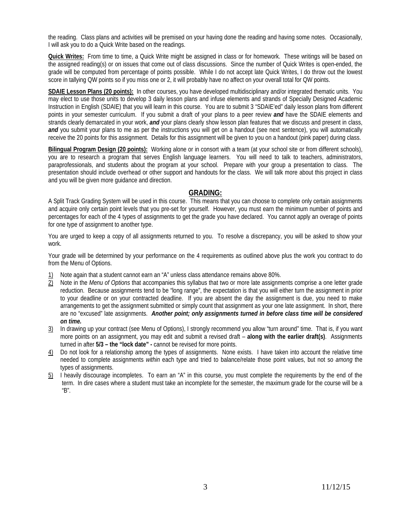the reading. Class plans and activities will be premised on your having done the reading and having some notes. Occasionally, I will ask you to do a Quick Write based on the readings.

**Quick Writes:** From time to time, a Quick Write might be assigned in class or for homework. These writings will be based on the assigned reading(s) or on issues that come out of class discussions. Since the number of Quick Writes is open-ended, the grade will be computed from percentage of points possible. While I do not accept late Quick Writes, I do throw out the lowest score in tallying QW points so if you miss one or 2, it will probably have no affect on your overall total for QW points.

**SDAIE Lesson Plans (20 points):** In other courses, you have developed multidisciplinary and/or integrated thematic units. You may elect to use those units to develop 3 daily lesson plans and infuse elements and strands of Specially Designed Academic Instruction in English (SDAIE) that you will learn in this course. You are to submit 3 "SDAIE'ed" daily lesson plans from different points in your semester curriculum. If you submit a draft of your plans to a peer review *and* have the SDAIE elements and strands clearly demarcated in your work, *and* your plans clearly show lesson plan features that we discuss and present in class, and you submit your plans to me as per the instructions you will get on a handout (see next sentence), you will automatically receive the 20 points for this assignment. Details for this assignment will be given to you on a handout (pink paper) during class.

**Bilingual Program Design (20 points):** Working alone or in consort with a team (at your school site or from different schools), you are to research a program that serves English language learners. You will need to talk to teachers, administrators, paraprofessionals, and students about the program at your school. Prepare with your group a presentation to class. The presentation should include overhead or other support and handouts for the class. We will talk more about this project in class and you will be given more guidance and direction.

#### **GRADING:**

A Split Track Grading System will be used in this course. This means that you can choose to complete only certain assignments and acquire only certain point levels that you pre-set for yourself. However, you must earn the minimum number of points and percentages for each of the 4 types of assignments to get the grade you have declared. You cannot apply an overage of points for one type of assignment to another type.

You are urged to keep a copy of all assignments returned to you. To resolve a discrepancy, you will be asked to show your work.

Your grade will be determined by your performance on the 4 requirements as outlined above plus the work you contract to do from the Menu of Options.

- 1) Note again that a student cannot earn an "A" unless class attendance remains above 80%.
- 2) Note in the *Menu of Options* that accompanies this syllabus that two or more late assignments comprise a one letter grade reduction. Because assignments tend to be "long range", the expectation is that you will either turn the assignment in prior to your deadline or on your contracted deadline. If you are absent the day the assignment is due, you need to make arrangements to get the assignment submitted or simply count that assignment as your one late assignment. In short, there are no "excused" late assignments. *Another point; only assignments turned in before class time will be considered on time.*
- 3) In drawing up your contract (see Menu of Options), I strongly recommend you allow "turn around" time. That is, if you want more points on an assignment, you may edit and submit a revised draft – **along with the earlier draft(s)**. Assignments turned in after **5/3 – the "lock date" -** cannot be revised for more points.
- 4) Do not look for a relationship among the types of assignments. None exists. I have taken into account the relative time needed to complete assignments *within* each type and tried to balance/relate those point values, but not so *among* the types of assignments.
- 5) I heavily discourage incompletes. To earn an "A" in this course, you must complete the requirements by the end of the term. In dire cases where a student must take an incomplete for the semester, the maximum grade for the course will be a "B".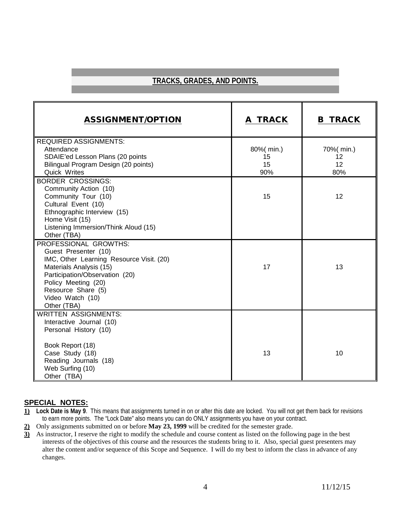#### **TRACKS, GRADES, AND POINTS.**

| <b>ASSIGNMENT/OPTION</b>                       | A TRACK   | <b>B TRACK</b> |
|------------------------------------------------|-----------|----------------|
| <b>REQUIRED ASSIGNMENTS:</b>                   |           |                |
| Attendance                                     | 80%(min.) | 70%( min.)     |
| SDAIE'ed Lesson Plans (20 points               | 15        | 12             |
| Bilingual Program Design (20 points)           | 15        | 12             |
| Quick Writes                                   | 90%       | 80%            |
| <b>BORDER CROSSINGS:</b>                       |           |                |
| Community Action (10)                          |           |                |
| Community Tour (10)                            | 15        | 12             |
| Cultural Event (10)                            |           |                |
| Ethnographic Interview (15)<br>Home Visit (15) |           |                |
| Listening Immersion/Think Aloud (15)           |           |                |
| Other (TBA)                                    |           |                |
| PROFESSIONAL GROWTHS:                          |           |                |
| Guest Presenter (10)                           |           |                |
| IMC, Other Learning Resource Visit. (20)       |           |                |
| Materials Analysis (15)                        | 17        | 13             |
| Participation/Observation (20)                 |           |                |
| Policy Meeting (20)                            |           |                |
| Resource Share (5)                             |           |                |
| Video Watch (10)                               |           |                |
| Other (TBA)                                    |           |                |
| <b>WRITTEN ASSIGNMENTS:</b>                    |           |                |
| Interactive Journal (10)                       |           |                |
| Personal History (10)                          |           |                |
|                                                |           |                |
| Book Report (18)                               |           |                |
| Case Study (18)                                | 13        | 10             |
| Reading Journals (18)                          |           |                |
| Web Surfing (10)                               |           |                |
| Other (TBA)                                    |           |                |

#### **SPECIAL NOTES:**

- **1) Lock Date is May 9**. This means that assignments turned in on or after this date are locked. You will not get them back for revisions to earn more points. The "Lock Date" also means you can do ONLY assignments you have on your contract.
- **2)** Only assignments submitted on or before **May 23, 1999** will be credited for the semester grade.
- **3)** As instructor, I reserve the right to modify the schedule and course content as listed on the following page in the best interests of the objectives of this course and the resources the students bring to it. Also, special guest presenters may alter the content and/or sequence of this Scope and Sequence. I will do my best to inform the class in advance of any changes.